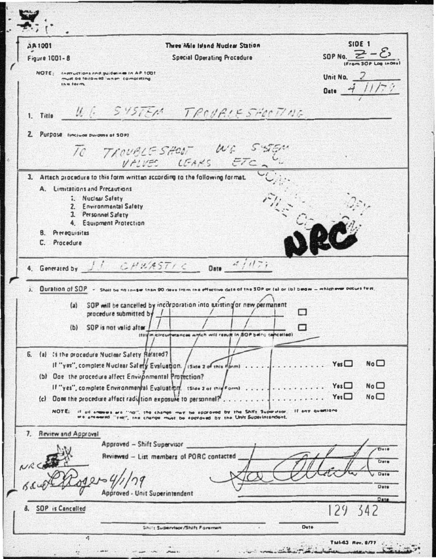| <b>DR1001</b>                               | Three Mile Island Nuclear Station                                                                                                 | <b>SIDE 1</b>                          |
|---------------------------------------------|-----------------------------------------------------------------------------------------------------------------------------------|----------------------------------------|
| <b>Figure 1001-8</b>                        | <b>Special Operating Procedure</b>                                                                                                | SOP No. $\geq$ -                       |
| NOTE: Inmustions and puidain o in AP 1001   | must be fellowed, when completing                                                                                                 | Unit No. $\angle$                      |
| $1h = 101m$                                 |                                                                                                                                   | Date $ \overrightarrow{7}$             |
|                                             |                                                                                                                                   |                                        |
| 1. Title                                    | U.C. SYSTEM TROVALE SHOCTING                                                                                                      |                                        |
| 2. Purpose tinciude purpose at SOP)         |                                                                                                                                   |                                        |
|                                             | TO TROUBLE SHOW WE SISEN                                                                                                          |                                        |
|                                             |                                                                                                                                   |                                        |
|                                             | 3. Artach procedure to this form written according to the following format.                                                       |                                        |
| A. Limitations and Precautions              |                                                                                                                                   |                                        |
| 1. Nuclear Safety                           | 2. Environmental Safety                                                                                                           |                                        |
|                                             | 1 Personnel Safety                                                                                                                |                                        |
|                                             | 4. Equipment Pratection                                                                                                           |                                        |
| 8. Prerequisites<br>C. Procedure            |                                                                                                                                   |                                        |
|                                             |                                                                                                                                   |                                        |
|                                             | 4. Generated by $1!$ $GHU/ASTIC$ Date $4/17$                                                                                      |                                        |
| $\mathbf{J}_{n}$                            | Duration of SOP - Shell be no longer than 90 days from the effective date of the SOP or (a) or (b) below - mhichever occurs firm. |                                        |
|                                             | (a) SOP will be cancelled by incorporation into existing or new permanent                                                         |                                        |
|                                             | procedure submitted by                                                                                                            | п                                      |
|                                             | (b) SOP is not valid after                                                                                                        |                                        |
|                                             | (filte in circumstances which will result in SOP being cancelled)                                                                 |                                        |
|                                             | 6. (a) tithe procedure Nuclear Safety Related?                                                                                    |                                        |
|                                             | If "yes", complete Nuclear Safety Evaluation, / iside 2 of this florm) Yes                                                        | No <sup>1</sup>                        |
|                                             | (b) One the procedure affect Environmental Profection?                                                                            |                                        |
|                                             | If "yes", complete Environmental Evaluation. Islae 2 of this Formi                                                                | No <sub>1</sub><br>$Y_{0}$ s $\square$ |
|                                             | (c) Does the procedure affect radiction exposure to personnel?                                                                    | $Y_{11}$<br>No <sub>1</sub>            |
| NOTE:<br>$19 - 018$                         | ermoves are find?, the change may be approved by the Shift Supervisor. If any quartions                                           |                                        |
|                                             | , the change must be epproved by the Unit Superintendent.<br>we are eased "yes"                                                   |                                        |
| <b>Review and Approval</b><br>$\mathcal{L}$ |                                                                                                                                   |                                        |
|                                             | Approved - Shift Supervisor                                                                                                       | Dete                                   |
|                                             | Reviewed - List members of PORC contacted                                                                                         | Dete                                   |
|                                             |                                                                                                                                   |                                        |
|                                             |                                                                                                                                   | Date                                   |
|                                             |                                                                                                                                   | Date                                   |
|                                             | Approved - Unit Superintendent                                                                                                    | Date                                   |
| 8. SOP is Cancelled                         |                                                                                                                                   | 129<br>342                             |